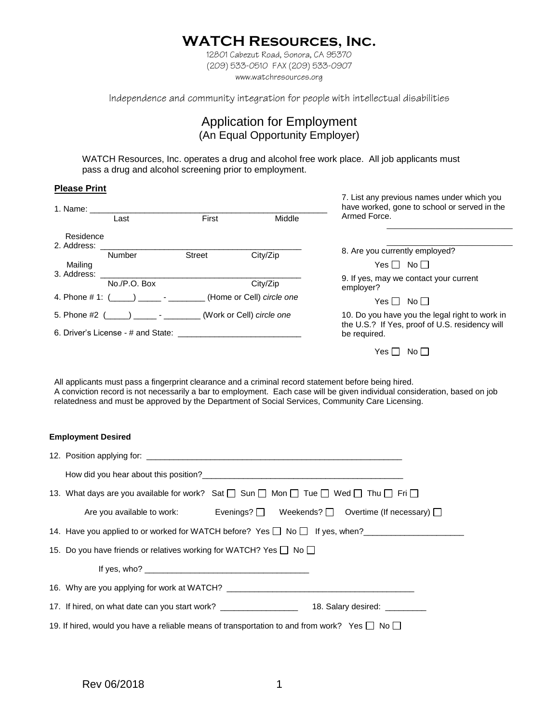**WATCH Resources, Inc.**

12801 Cabezut Road, Sonora, CA 95370 (209) 533-0510 FAX (209) 533-0907 www.watchresources.org

Independence and community integration for people with intellectual disabilities

# Application for Employment (An Equal Opportunity Employer)

WATCH Resources, Inc. operates a drug and alcohol free work place. All job applicants must pass a drug and alcohol screening prior to employment.

### **Please Print**

| 1. Name: ______          | Last                                                                | First        | Middle   | 7. List any previous names under which you<br>have worked, gone to school or served in the<br>Armed Force. |
|--------------------------|---------------------------------------------------------------------|--------------|----------|------------------------------------------------------------------------------------------------------------|
| Residence<br>2. Address: |                                                                     |              |          |                                                                                                            |
|                          | <b>Number</b>                                                       | Street       | City/Zip | 8. Are you currently employed?                                                                             |
| Mailing                  |                                                                     |              |          | Noll<br>Yes I I                                                                                            |
| 3. Address:              |                                                                     |              |          | 9. If yes, may we contact your current                                                                     |
|                          | No./P.O. Box                                                        |              | City/Zip | employer?                                                                                                  |
|                          | 4. Phone # 1: (____) _______ - __________ (Home or Cell) circle one |              |          | $Yes \BoxNo \Box$                                                                                          |
|                          | 5. Phone #2 ( ) __________________(Work or Cell) circle one         |              |          | 10. Do you have you the legal right to work in<br>the U.S.? If Yes, proof of U.S. residency will           |
|                          |                                                                     | be required. |          |                                                                                                            |
|                          |                                                                     |              |          | Yes.<br>No Li                                                                                              |

All applicants must pass a fingerprint clearance and a criminal record statement before being hired. A conviction record is not necessarily a bar to employment. Each case will be given individual consideration, based on job relatedness and must be approved by the Department of Social Services, Community Care Licensing.

#### **Employment Desired**

|                                                                                                        | 13. What days are you available for work? Sat □ Sun □ Mon □ Tue □ Wed □ Thu □ Fri □         |  |  |  |  |
|--------------------------------------------------------------------------------------------------------|---------------------------------------------------------------------------------------------|--|--|--|--|
|                                                                                                        | Are you available to work: Evenings? $\Box$ Weekends? $\Box$ Overtime (If necessary) $\Box$ |  |  |  |  |
|                                                                                                        | 14. Have you applied to or worked for WATCH before? Yes $\Box$ No $\Box$ If yes, when?      |  |  |  |  |
|                                                                                                        | 15. Do you have friends or relatives working for WATCH? Yes $\Box$ No $\Box$                |  |  |  |  |
|                                                                                                        |                                                                                             |  |  |  |  |
|                                                                                                        |                                                                                             |  |  |  |  |
|                                                                                                        |                                                                                             |  |  |  |  |
| 19. If hired, would you have a reliable means of transportation to and from work? Yes $\Box$ No $\Box$ |                                                                                             |  |  |  |  |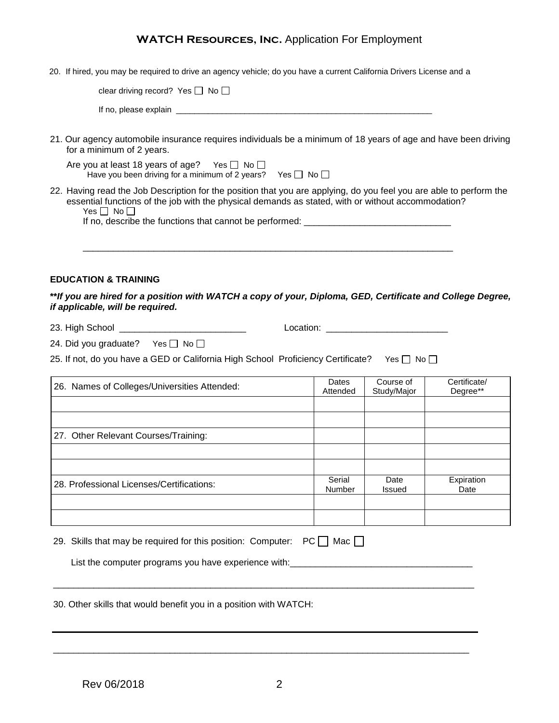## **WATCH Resources, Inc.** Application For Employment

20. If hired, you may be required to drive an agency vehicle; do you have a current California Drivers License and a

|  | clear driving record? Yes $\Box$ No $\Box$ |  |  |
|--|--------------------------------------------|--|--|
|--|--------------------------------------------|--|--|

| If no, please explain |  |
|-----------------------|--|

21. Our agency automobile insurance requires individuals be a minimum of 18 years of age and have been driving for a minimum of 2 years.

| Are you at least 18 years of age? Yes $\Box$ No $\Box$               |  |
|----------------------------------------------------------------------|--|
| Have you been driving for a minimum of 2 years? Yes $\Box$ No $\Box$ |  |

22. Having read the Job Description for the position that you are applying, do you feel you are able to perform the essential functions of the job with the physical demands as stated, with or without accommodation? Yes  $\Box$  No  $\Box$ 

\_\_\_\_\_\_\_\_\_\_\_\_\_\_\_\_\_\_\_\_\_\_\_\_\_\_\_\_\_\_\_\_\_\_\_\_\_\_\_\_\_\_\_\_\_\_\_\_\_\_\_\_\_\_\_\_\_\_\_\_\_\_\_\_\_\_\_\_\_\_\_\_\_

If no, describe the functions that cannot be performed:

### **EDUCATION & TRAINING**

**\*\****If you are hired for a position with WATCH a copy of your, Diploma, GED, Certificate and College Degree, if applicable, will be required.*

23. High School \_\_\_\_\_\_\_\_\_\_\_\_\_\_\_\_\_\_\_\_\_\_\_\_\_ Location: \_\_\_\_\_\_\_\_\_\_\_\_\_\_\_\_\_\_\_\_\_\_\_\_

24. Did you graduate? Yes  $\Box$  No  $\Box$ 

25. If not, do you have a GED or California High School Proficiency Certificate? Yes  $\Box$  No  $\Box$ 

| 26. Names of Colleges/Universities Attended: | Dates<br>Attended | Course of<br>Study/Major | Certificate/<br>Degree** |
|----------------------------------------------|-------------------|--------------------------|--------------------------|
|                                              |                   |                          |                          |
|                                              |                   |                          |                          |
| 27. Other Relevant Courses/Training:         |                   |                          |                          |
|                                              |                   |                          |                          |
| 28. Professional Licenses/Certifications:    | Serial<br>Number  | Date<br><b>Issued</b>    | Expiration<br>Date       |
|                                              |                   |                          |                          |
|                                              |                   |                          |                          |

| 29. Skills that may be required for this position: Computer: PC   Mac |  |  |  |  |
|-----------------------------------------------------------------------|--|--|--|--|
|                                                                       |  |  |  |  |

List the computer programs you have experience with:\_\_\_\_\_\_\_\_\_\_\_\_\_\_\_\_\_\_\_\_\_\_\_\_\_\_\_\_\_

30. Other skills that would benefit you in a position with WATCH:

\_\_\_\_\_\_\_\_\_\_\_\_\_\_\_\_\_\_\_\_\_\_\_\_\_\_\_\_\_\_\_\_\_\_\_\_\_\_\_\_\_\_\_\_\_\_\_\_\_\_\_\_\_\_\_\_\_\_\_\_\_\_\_\_\_\_\_\_\_\_\_\_\_\_\_\_\_\_\_\_\_\_\_

\_\_\_\_\_\_\_\_\_\_\_\_\_\_\_\_\_\_\_\_\_\_\_\_\_\_\_\_\_\_\_\_\_\_\_\_\_\_\_\_\_\_\_\_\_\_\_\_\_\_\_\_\_\_\_\_\_\_\_\_\_\_\_\_\_\_\_\_\_\_\_\_\_\_\_\_\_\_\_\_\_\_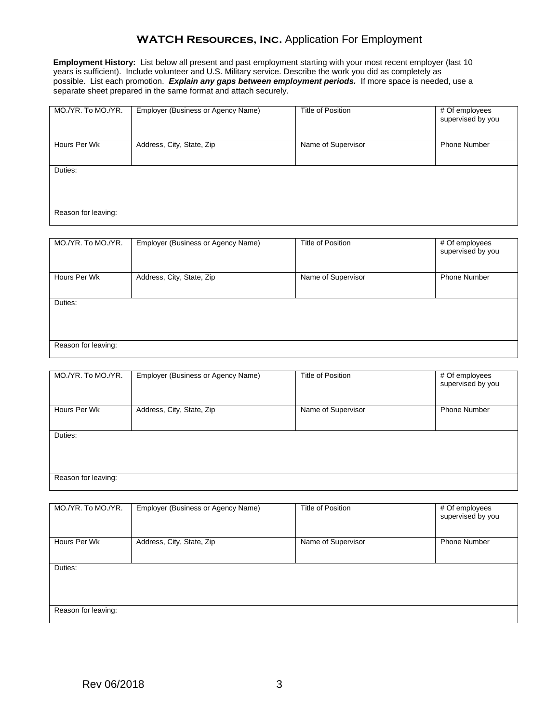# **WATCH Resources, Inc.** Application For Employment

**Employment History:** List below all present and past employment starting with your most recent employer (last 10 years is sufficient). Include volunteer and U.S. Military service. Describe the work you did as completely as possible. List each promotion. *Explain any gaps between employment periods.* If more space is needed, use a separate sheet prepared in the same format and attach securely.

| MO./YR. To MO./YR.  | Employer (Business or Agency Name) | Title of Position  | # Of employees<br>supervised by you |
|---------------------|------------------------------------|--------------------|-------------------------------------|
| Hours Per Wk        | Address, City, State, Zip          | Name of Supervisor | <b>Phone Number</b>                 |
| Duties:             |                                    |                    |                                     |
| Reason for leaving: |                                    |                    |                                     |

| MO./YR. To MO./YR.  | Employer (Business or Agency Name) | Title of Position  | # Of employees<br>supervised by you |
|---------------------|------------------------------------|--------------------|-------------------------------------|
| Hours Per Wk        | Address, City, State, Zip          | Name of Supervisor | <b>Phone Number</b>                 |
| Duties:             |                                    |                    |                                     |
| Reason for leaving: |                                    |                    |                                     |

| MO./YR. To MO./YR.  | Employer (Business or Agency Name) | <b>Title of Position</b> | # Of employees<br>supervised by you |
|---------------------|------------------------------------|--------------------------|-------------------------------------|
| Hours Per Wk        | Address, City, State, Zip          | Name of Supervisor       | <b>Phone Number</b>                 |
| Duties:             |                                    |                          |                                     |
| Reason for leaving: |                                    |                          |                                     |

| MO./YR. To MO./YR.  | Employer (Business or Agency Name) | Title of Position  | # Of employees<br>supervised by you |
|---------------------|------------------------------------|--------------------|-------------------------------------|
| Hours Per Wk        | Address, City, State, Zip          | Name of Supervisor | <b>Phone Number</b>                 |
| Duties:             |                                    |                    |                                     |
| Reason for leaving: |                                    |                    |                                     |